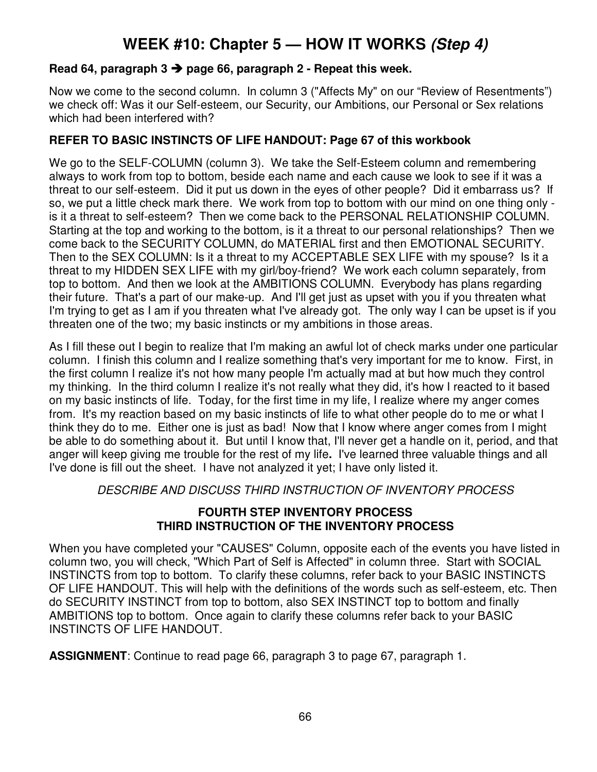# **WEEK #10: Chapter 5 — HOW IT WORKS (Step 4)**

## **Read 64, paragraph 3 page 66, paragraph 2 - Repeat this week.**

Now we come to the second column. In column 3 ("Affects My" on our "Review of Resentments") we check off: Was it our Self-esteem, our Security, our Ambitions, our Personal or Sex relations which had been interfered with?

# **REFER TO BASIC INSTINCTS OF LIFE HANDOUT: Page 67 of this workbook**

We go to the SELF-COLUMN (column 3). We take the Self-Esteem column and remembering always to work from top to bottom, beside each name and each cause we look to see if it was a threat to our self-esteem. Did it put us down in the eyes of other people? Did it embarrass us? If so, we put a little check mark there. We work from top to bottom with our mind on one thing only is it a threat to self-esteem? Then we come back to the PERSONAL RELATIONSHIP COLUMN. Starting at the top and working to the bottom, is it a threat to our personal relationships? Then we come back to the SECURITY COLUMN, do MATERIAL first and then EMOTIONAL SECURITY. Then to the SEX COLUMN: Is it a threat to my ACCEPTABLE SEX LIFE with my spouse? Is it a threat to my HIDDEN SEX LIFE with my girl/boy-friend? We work each column separately, from top to bottom. And then we look at the AMBITIONS COLUMN. Everybody has plans regarding their future. That's a part of our make-up. And I'll get just as upset with you if you threaten what I'm trying to get as I am if you threaten what I've already got. The only way I can be upset is if you threaten one of the two; my basic instincts or my ambitions in those areas.

As I fill these out I begin to realize that I'm making an awful lot of check marks under one particular column. I finish this column and I realize something that's very important for me to know. First, in the first column I realize it's not how many people I'm actually mad at but how much they control my thinking. In the third column I realize it's not really what they did, it's how I reacted to it based on my basic instincts of life. Today, for the first time in my life, I realize where my anger comes from. It's my reaction based on my basic instincts of life to what other people do to me or what I think they do to me. Either one is just as bad! Now that I know where anger comes from I might be able to do something about it. But until I know that, I'll never get a handle on it, period, and that anger will keep giving me trouble for the rest of my life**.** I've learned three valuable things and all I've done is fill out the sheet. I have not analyzed it yet; I have only listed it.

DESCRIBE AND DISCUSS THIRD INSTRUCTION OF INVENTORY PROCESS

## **FOURTH STEP INVENTORY PROCESS THIRD INSTRUCTION OF THE INVENTORY PROCESS**

When you have completed your "CAUSES" Column, opposite each of the events you have listed in column two, you will check, "Which Part of Self is Affected" in column three. Start with SOCIAL INSTINCTS from top to bottom. To clarify these columns, refer back to your BASIC INSTINCTS OF LIFE HANDOUT. This will help with the definitions of the words such as self-esteem, etc. Then do SECURITY INSTINCT from top to bottom, also SEX INSTINCT top to bottom and finally AMBITIONS top to bottom. Once again to clarify these columns refer back to your BASIC INSTINCTS OF LIFE HANDOUT.

**ASSIGNMENT**: Continue to read page 66, paragraph 3 to page 67, paragraph 1.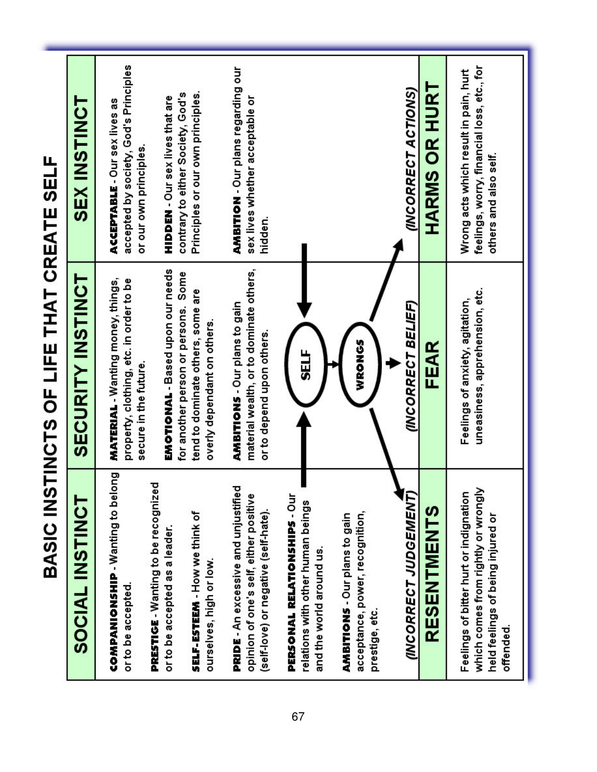|                                                                                                                                | BASIC INSTINCTS OF LIFE THAT CREATE SELF                                                                     |                                                                                                              |
|--------------------------------------------------------------------------------------------------------------------------------|--------------------------------------------------------------------------------------------------------------|--------------------------------------------------------------------------------------------------------------|
| SOCIAL INSTINCT                                                                                                                | <b>SECURITY INSTINCT</b>                                                                                     | <b>SEX INSTINCT</b>                                                                                          |
| COMPANIONSHIP - Wanting to belong<br>or to be accepted.                                                                        | <b>MATERIAL - Wanting money, things,</b><br>property, clothing, etc. in order to be<br>secure in the future. | accepted by society, God's Principles<br>ACCEPTABLE - Our sex lives as<br>or our own principles.             |
| PRESTIGE - Wanting to be recognized<br>or to be accepted as a leader.                                                          | EMOTIONAL - Based upon our needs<br>for another person or persons. Some                                      | contrary to either Society, God's<br><b>HIDDEN-Our sex lives that are</b>                                    |
| SELF-ESTEEM - How we think of<br>ourselves, high or low.                                                                       | tend to dominate others, some are<br>overly dependant on others.                                             | Principles or our own principles.                                                                            |
| PRIDE - An excessive and unjustified<br>opinion of one's self, either positive<br>(self-love) or negative (self-hate).         | material wealth, or to dominate others,<br>AMBITIONS - Our plans to gain<br>or to depend upon others.        | AMBITION - Our plans regarding our<br>sex lives whether acceptable or<br>hidden.                             |
| PERSONAL RELATIONSHIPS - Our<br>relations with other human beings                                                              | 5ELF                                                                                                         |                                                                                                              |
| and the world around us.                                                                                                       |                                                                                                              |                                                                                                              |
| acceptance, power, recognition,<br>AMBITIONS - Our plans to gain<br>prestige, etc.                                             | WRONGS                                                                                                       |                                                                                                              |
| (INCORRECT JUDGEMENT)                                                                                                          | (INCORRECT BELIEF)                                                                                           | (INCORRECT ACTIONS)                                                                                          |
| RESENTMENTS                                                                                                                    | FEAR                                                                                                         | <b>HARMS OR HURT</b>                                                                                         |
| which comes from rightly or wrongly<br>Feelings of bitter hurt or indignation<br>held feelings of being injured or<br>offended | uneasiness, apprehension, etc.<br>Feelings of anxiety, agitation,                                            | feelings, worry, financial loss, etc., for<br>Wrong acts which result in pain, hurt<br>others and also self. |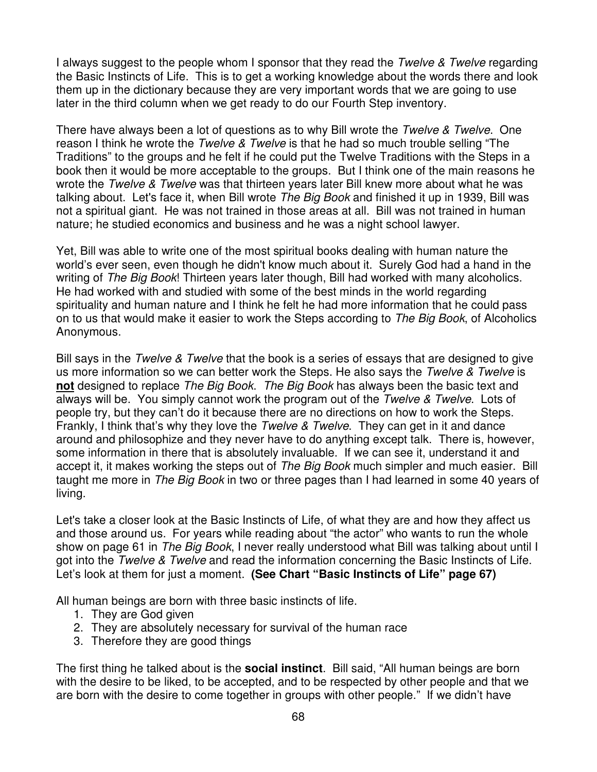I always suggest to the people whom I sponsor that they read the Twelve & Twelve regarding the Basic Instincts of Life. This is to get a working knowledge about the words there and look them up in the dictionary because they are very important words that we are going to use later in the third column when we get ready to do our Fourth Step inventory.

There have always been a lot of questions as to why Bill wrote the Twelve & Twelve. One reason I think he wrote the Twelve & Twelve is that he had so much trouble selling "The Traditions" to the groups and he felt if he could put the Twelve Traditions with the Steps in a book then it would be more acceptable to the groups. But I think one of the main reasons he wrote the Twelve & Twelve was that thirteen years later Bill knew more about what he was talking about. Let's face it, when Bill wrote The Big Book and finished it up in 1939. Bill was not a spiritual giant. He was not trained in those areas at all. Bill was not trained in human nature; he studied economics and business and he was a night school lawyer.

Yet, Bill was able to write one of the most spiritual books dealing with human nature the world's ever seen, even though he didn't know much about it. Surely God had a hand in the writing of The Big Book! Thirteen years later though, Bill had worked with many alcoholics. He had worked with and studied with some of the best minds in the world regarding spirituality and human nature and I think he felt he had more information that he could pass on to us that would make it easier to work the Steps according to The Big Book, of Alcoholics Anonymous.

Bill says in the Twelve & Twelve that the book is a series of essays that are designed to give us more information so we can better work the Steps. He also says the Twelve & Twelve is **not** designed to replace The Big Book. The Big Book has always been the basic text and always will be. You simply cannot work the program out of the Twelve & Twelve. Lots of people try, but they can't do it because there are no directions on how to work the Steps. Frankly, I think that's why they love the *Twelve & Twelve*. They can get in it and dance around and philosophize and they never have to do anything except talk. There is, however, some information in there that is absolutely invaluable. If we can see it, understand it and accept it, it makes working the steps out of The Big Book much simpler and much easier. Bill taught me more in The Big Book in two or three pages than I had learned in some 40 years of living.

Let's take a closer look at the Basic Instincts of Life, of what they are and how they affect us and those around us. For years while reading about "the actor" who wants to run the whole show on page 61 in The Big Book, I never really understood what Bill was talking about until I got into the Twelve & Twelve and read the information concerning the Basic Instincts of Life. Let's look at them for just a moment. **(See Chart "Basic Instincts of Life" page 67)**

All human beings are born with three basic instincts of life.

- 1. They are God given
- 2. They are absolutely necessary for survival of the human race
- 3. Therefore they are good things

The first thing he talked about is the **social instinct**. Bill said, "All human beings are born with the desire to be liked, to be accepted, and to be respected by other people and that we are born with the desire to come together in groups with other people." If we didn't have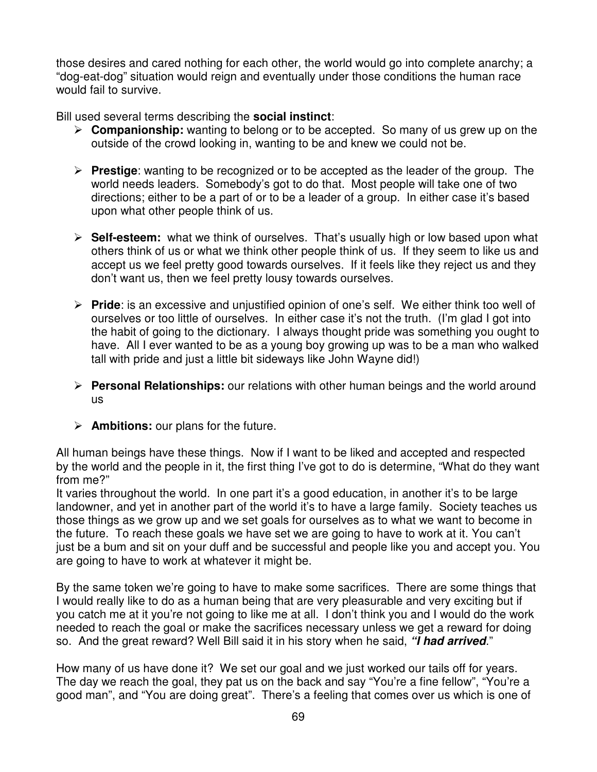those desires and cared nothing for each other, the world would go into complete anarchy; a "dog-eat-dog" situation would reign and eventually under those conditions the human race would fail to survive.

Bill used several terms describing the **social instinct**:

- ▶ **Companionship:** wanting to belong or to be accepted. So many of us grew up on the outside of the crowd looking in, wanting to be and knew we could not be.
- > Prestige: wanting to be recognized or to be accepted as the leader of the group. The world needs leaders. Somebody's got to do that. Most people will take one of two directions; either to be a part of or to be a leader of a group. In either case it's based upon what other people think of us.
- > Self-esteem: what we think of ourselves. That's usually high or low based upon what others think of us or what we think other people think of us. If they seem to like us and accept us we feel pretty good towards ourselves. If it feels like they reject us and they don't want us, then we feel pretty lousy towards ourselves.
- > Pride: is an excessive and unjustified opinion of one's self. We either think too well of ourselves or too little of ourselves. In either case it's not the truth. (I'm glad I got into the habit of going to the dictionary. I always thought pride was something you ought to have. All I ever wanted to be as a young boy growing up was to be a man who walked tall with pride and just a little bit sideways like John Wayne did!)
- **> Personal Relationships:** our relations with other human beings and the world around us
- **Ambitions:** our plans for the future.

All human beings have these things. Now if I want to be liked and accepted and respected by the world and the people in it, the first thing I've got to do is determine, "What do they want from me?"

It varies throughout the world. In one part it's a good education, in another it's to be large landowner, and yet in another part of the world it's to have a large family. Society teaches us those things as we grow up and we set goals for ourselves as to what we want to become in the future. To reach these goals we have set we are going to have to work at it. You can't just be a bum and sit on your duff and be successful and people like you and accept you. You are going to have to work at whatever it might be.

By the same token we're going to have to make some sacrifices. There are some things that I would really like to do as a human being that are very pleasurable and very exciting but if you catch me at it you're not going to like me at all. I don't think you and I would do the work needed to reach the goal or make the sacrifices necessary unless we get a reward for doing so. And the great reward? Well Bill said it in his story when he said, **"I had arrived**."

How many of us have done it? We set our goal and we just worked our tails off for years. The day we reach the goal, they pat us on the back and say "You're a fine fellow", "You're a good man", and "You are doing great". There's a feeling that comes over us which is one of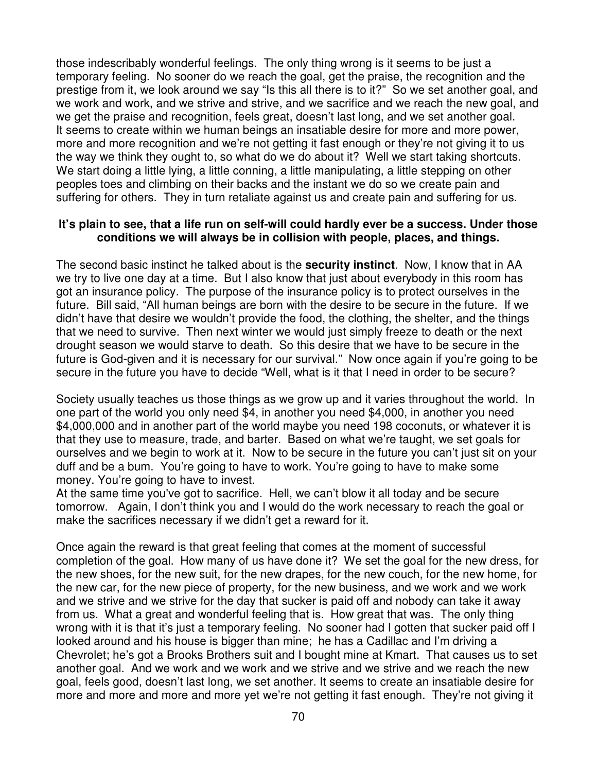those indescribably wonderful feelings. The only thing wrong is it seems to be just a temporary feeling. No sooner do we reach the goal, get the praise, the recognition and the prestige from it, we look around we say "Is this all there is to it?" So we set another goal, and we work and work, and we strive and strive, and we sacrifice and we reach the new goal, and we get the praise and recognition, feels great, doesn't last long, and we set another goal. It seems to create within we human beings an insatiable desire for more and more power, more and more recognition and we're not getting it fast enough or they're not giving it to us the way we think they ought to, so what do we do about it? Well we start taking shortcuts. We start doing a little lying, a little conning, a little manipulating, a little stepping on other peoples toes and climbing on their backs and the instant we do so we create pain and suffering for others. They in turn retaliate against us and create pain and suffering for us.

#### **It's plain to see, that a life run on self-will could hardly ever be a success. Under those conditions we will always be in collision with people, places, and things.**

The second basic instinct he talked about is the **security instinct**. Now, I know that in AA we try to live one day at a time. But I also know that just about everybody in this room has got an insurance policy. The purpose of the insurance policy is to protect ourselves in the future. Bill said, "All human beings are born with the desire to be secure in the future. If we didn't have that desire we wouldn't provide the food, the clothing, the shelter, and the things that we need to survive. Then next winter we would just simply freeze to death or the next drought season we would starve to death. So this desire that we have to be secure in the future is God-given and it is necessary for our survival." Now once again if you're going to be secure in the future you have to decide "Well, what is it that I need in order to be secure?

Society usually teaches us those things as we grow up and it varies throughout the world. In one part of the world you only need \$4, in another you need \$4,000, in another you need \$4,000,000 and in another part of the world maybe you need 198 coconuts, or whatever it is that they use to measure, trade, and barter. Based on what we're taught, we set goals for ourselves and we begin to work at it. Now to be secure in the future you can't just sit on your duff and be a bum. You're going to have to work. You're going to have to make some money. You're going to have to invest.

At the same time you've got to sacrifice. Hell, we can't blow it all today and be secure tomorrow. Again, I don't think you and I would do the work necessary to reach the goal or make the sacrifices necessary if we didn't get a reward for it.

Once again the reward is that great feeling that comes at the moment of successful completion of the goal. How many of us have done it? We set the goal for the new dress, for the new shoes, for the new suit, for the new drapes, for the new couch, for the new home, for the new car, for the new piece of property, for the new business, and we work and we work and we strive and we strive for the day that sucker is paid off and nobody can take it away from us. What a great and wonderful feeling that is. How great that was. The only thing wrong with it is that it's just a temporary feeling. No sooner had I gotten that sucker paid off I looked around and his house is bigger than mine; he has a Cadillac and I'm driving a Chevrolet; he's got a Brooks Brothers suit and I bought mine at Kmart. That causes us to set another goal. And we work and we work and we strive and we strive and we reach the new goal, feels good, doesn't last long, we set another. It seems to create an insatiable desire for more and more and more and more yet we're not getting it fast enough. They're not giving it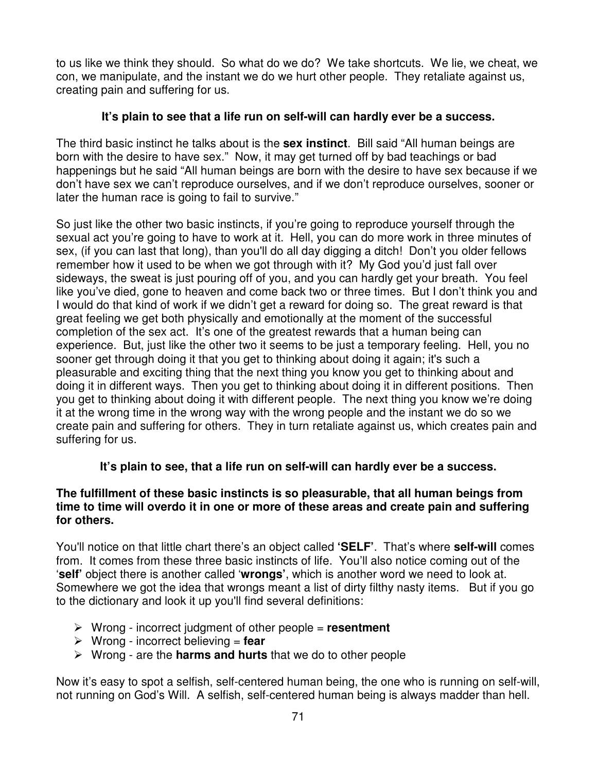to us like we think they should. So what do we do? We take shortcuts. We lie, we cheat, we con, we manipulate, and the instant we do we hurt other people. They retaliate against us, creating pain and suffering for us.

## **It's plain to see that a life run on self-will can hardly ever be a success.**

The third basic instinct he talks about is the **sex instinct**. Bill said "All human beings are born with the desire to have sex." Now, it may get turned off by bad teachings or bad happenings but he said "All human beings are born with the desire to have sex because if we don't have sex we can't reproduce ourselves, and if we don't reproduce ourselves, sooner or later the human race is going to fail to survive."

So just like the other two basic instincts, if you're going to reproduce yourself through the sexual act you're going to have to work at it. Hell, you can do more work in three minutes of sex, (if you can last that long), than you'll do all day digging a ditch! Don't you older fellows remember how it used to be when we got through with it? My God you'd just fall over sideways, the sweat is just pouring off of you, and you can hardly get your breath. You feel like you've died, gone to heaven and come back two or three times. But I don't think you and I would do that kind of work if we didn't get a reward for doing so. The great reward is that great feeling we get both physically and emotionally at the moment of the successful completion of the sex act. It's one of the greatest rewards that a human being can experience. But, just like the other two it seems to be just a temporary feeling. Hell, you no sooner get through doing it that you get to thinking about doing it again; it's such a pleasurable and exciting thing that the next thing you know you get to thinking about and doing it in different ways. Then you get to thinking about doing it in different positions. Then you get to thinking about doing it with different people. The next thing you know we're doing it at the wrong time in the wrong way with the wrong people and the instant we do so we create pain and suffering for others. They in turn retaliate against us, which creates pain and suffering for us.

## **It's plain to see, that a life run on self-will can hardly ever be a success.**

## **The fulfillment of these basic instincts is so pleasurable, that all human beings from time to time will overdo it in one or more of these areas and create pain and suffering for others.**

You'll notice on that little chart there's an object called **'SELF'**. That's where **self-will** comes from. It comes from these three basic instincts of life. You'll also notice coming out of the '**self'** object there is another called '**wrongs'**, which is another word we need to look at. Somewhere we got the idea that wrongs meant a list of dirty filthy nasty items. But if you go to the dictionary and look it up you'll find several definitions:

- Wrong incorrect judgment of other people = **resentment**
- Wrong incorrect believing = **fear**
- Wrong are the **harms and hurts** that we do to other people

Now it's easy to spot a selfish, self-centered human being, the one who is running on self-will, not running on God's Will. A selfish, self-centered human being is always madder than hell.